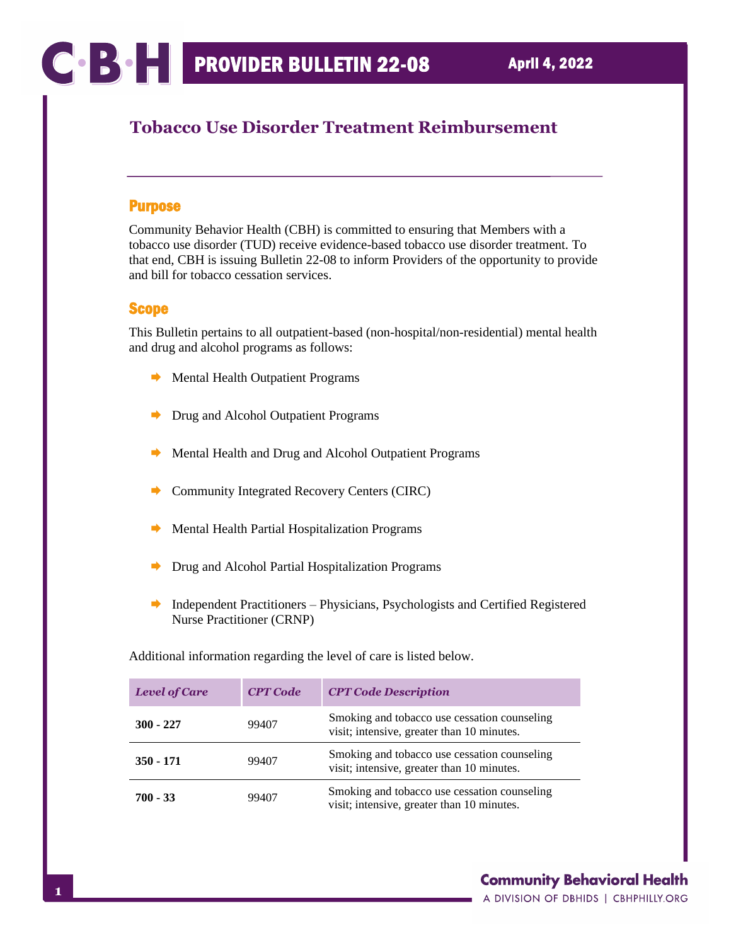# **Tobacco Use Disorder Treatment Reimbursement**

### Purpose

Community Behavior Health (CBH) is committed to ensuring that Members with a tobacco use disorder (TUD) receive evidence-based tobacco use disorder treatment. To that end, CBH is issuing Bulletin 22-08 to inform Providers of the opportunity to provide and bill for tobacco cessation services.

### Scope

This Bulletin pertains to all outpatient-based (non-hospital/non-residential) mental health and drug and alcohol programs as follows:

- $\rightarrow$  Mental Health Outpatient Programs
- **►** Drug and Alcohol Outpatient Programs
- Mental Health and Drug and Alcohol Outpatient Programs
- **►** Community Integrated Recovery Centers (CIRC)
- $\rightarrow$  Mental Health Partial Hospitalization Programs
- $\rightarrow$  Drug and Alcohol Partial Hospitalization Programs
- $\rightarrow$  Independent Practitioners Physicians, Psychologists and Certified Registered Nurse Practitioner (CRNP)

Additional information regarding the level of care is listed below.

| Level of Care | <b>CPT Code</b> | <b>CPT Code Description</b>                                                                |
|---------------|-----------------|--------------------------------------------------------------------------------------------|
| $300 - 227$   | 99407           | Smoking and tobacco use cessation counseling<br>visit; intensive, greater than 10 minutes. |
| 350 - 171     | 99407           | Smoking and tobacco use cessation counseling<br>visit; intensive, greater than 10 minutes. |
| $700 - 33$    | 99407           | Smoking and tobacco use cessation counseling<br>visit; intensive, greater than 10 minutes. |